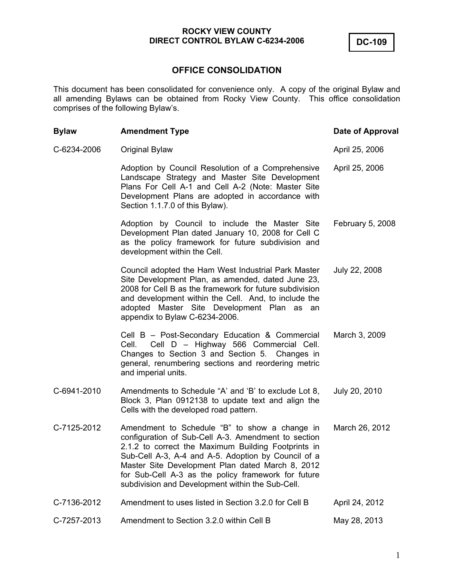**DC-109** 

# **OFFICE CONSOLIDATION**

This document has been consolidated for convenience only. A copy of the original Bylaw and all amending Bylaws can be obtained from Rocky View County. This office consolidation comprises of the following Bylaw's.

| <b>Bylaw</b> | <b>Amendment Type</b>                                                                                                                                                                                                                                                                                                                                                             | Date of Approval |
|--------------|-----------------------------------------------------------------------------------------------------------------------------------------------------------------------------------------------------------------------------------------------------------------------------------------------------------------------------------------------------------------------------------|------------------|
| C-6234-2006  | Original Bylaw                                                                                                                                                                                                                                                                                                                                                                    | April 25, 2006   |
|              | Adoption by Council Resolution of a Comprehensive<br>Landscape Strategy and Master Site Development<br>Plans For Cell A-1 and Cell A-2 (Note: Master Site<br>Development Plans are adopted in accordance with<br>Section 1.1.7.0 of this Bylaw).                                                                                                                                  | April 25, 2006   |
|              | Adoption by Council to include the Master Site<br>Development Plan dated January 10, 2008 for Cell C<br>as the policy framework for future subdivision and<br>development within the Cell.                                                                                                                                                                                        | February 5, 2008 |
|              | Council adopted the Ham West Industrial Park Master<br>Site Development Plan, as amended, dated June 23,<br>2008 for Cell B as the framework for future subdivision<br>and development within the Cell. And, to include the<br>adopted Master Site Development Plan as an<br>appendix to Bylaw C-6234-2006.                                                                       | July 22, 2008    |
|              | Cell B - Post-Secondary Education & Commercial<br>Cell D - Highway 566 Commercial Cell.<br>Cell.<br>Changes to Section 3 and Section 5. Changes in<br>general, renumbering sections and reordering metric<br>and imperial units.                                                                                                                                                  | March 3, 2009    |
| C-6941-2010  | Amendments to Schedule "A' and 'B' to exclude Lot 8,<br>Block 3, Plan 0912138 to update text and align the<br>Cells with the developed road pattern.                                                                                                                                                                                                                              | July 20, 2010    |
| C-7125-2012  | Amendment to Schedule "B" to show a change in<br>configuration of Sub-Cell A-3. Amendment to section<br>2.1.2 to correct the Maximum Building Footprints in<br>Sub-Cell A-3, A-4 and A-5. Adoption by Council of a<br>Master Site Development Plan dated March 8, 2012<br>for Sub-Cell A-3 as the policy framework for future<br>subdivision and Development within the Sub-Cell. | March 26, 2012   |
| C-7136-2012  | Amendment to uses listed in Section 3.2.0 for Cell B                                                                                                                                                                                                                                                                                                                              | April 24, 2012   |
| C-7257-2013  | Amendment to Section 3.2.0 within Cell B                                                                                                                                                                                                                                                                                                                                          | May 28, 2013     |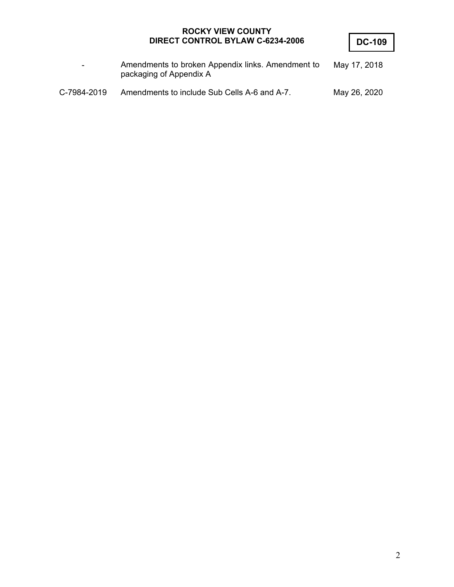**DC-109** 

| $\sim$      | Amendments to broken Appendix links. Amendment to<br>packaging of Appendix A | May 17, 2018 |
|-------------|------------------------------------------------------------------------------|--------------|
| C-7984-2019 | Amendments to include Sub Cells A-6 and A-7.                                 | May 26, 2020 |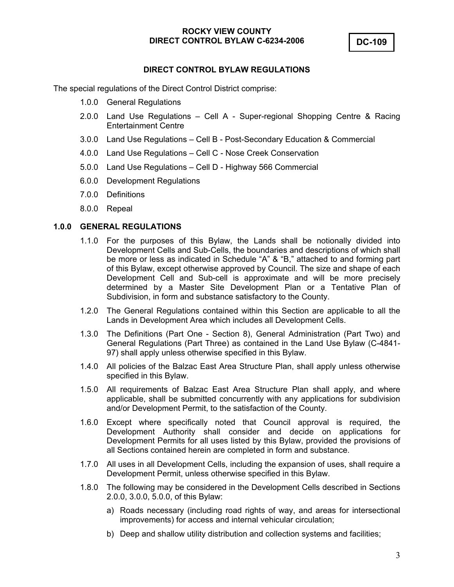## **DIRECT CONTROL BYLAW REGULATIONS**

The special regulations of the Direct Control District comprise:

- 1.0.0 General Regulations
- 2.0.0 Land Use Regulations Cell A Super-regional Shopping Centre & Racing Entertainment Centre
- 3.0.0 Land Use Regulations Cell B Post-Secondary Education & Commercial
- 4.0.0 Land Use Regulations Cell C Nose Creek Conservation
- 5.0.0 Land Use Regulations Cell D Highway 566 Commercial
- 6.0.0 Development Regulations
- 7.0.0 Definitions
- 8.0.0 Repeal

#### **1.0.0 GENERAL REGULATIONS**

- 1.1.0 For the purposes of this Bylaw, the Lands shall be notionally divided into Development Cells and Sub-Cells, the boundaries and descriptions of which shall be more or less as indicated in Schedule "A" & "B," attached to and forming part of this Bylaw, except otherwise approved by Council. The size and shape of each Development Cell and Sub-cell is approximate and will be more precisely determined by a Master Site Development Plan or a Tentative Plan of Subdivision, in form and substance satisfactory to the County.
- 1.2.0 The General Regulations contained within this Section are applicable to all the Lands in Development Area which includes all Development Cells.
- 1.3.0 The Definitions (Part One Section 8), General Administration (Part Two) and General Regulations (Part Three) as contained in the Land Use Bylaw (C-4841- 97) shall apply unless otherwise specified in this Bylaw.
- 1.4.0 All policies of the Balzac East Area Structure Plan, shall apply unless otherwise specified in this Bylaw.
- 1.5.0 All requirements of Balzac East Area Structure Plan shall apply, and where applicable, shall be submitted concurrently with any applications for subdivision and/or Development Permit, to the satisfaction of the County.
- 1.6.0 Except where specifically noted that Council approval is required, the Development Authority shall consider and decide on applications for Development Permits for all uses listed by this Bylaw, provided the provisions of all Sections contained herein are completed in form and substance.
- 1.7.0 All uses in all Development Cells, including the expansion of uses, shall require a Development Permit, unless otherwise specified in this Bylaw.
- 1.8.0 The following may be considered in the Development Cells described in Sections 2.0.0, 3.0.0, 5.0.0, of this Bylaw:
	- a) Roads necessary (including road rights of way, and areas for intersectional improvements) for access and internal vehicular circulation;
	- b) Deep and shallow utility distribution and collection systems and facilities;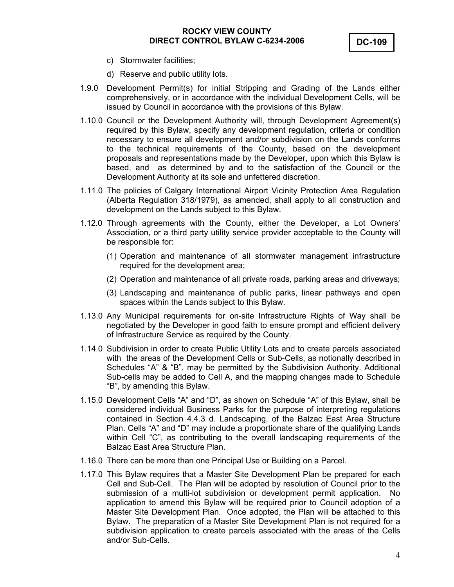- c) Stormwater facilities;
- d) Reserve and public utility lots.
- 1.9.0 Development Permit(s) for initial Stripping and Grading of the Lands either comprehensively, or in accordance with the individual Development Cells, will be issued by Council in accordance with the provisions of this Bylaw.
- 1.10.0 Council or the Development Authority will, through Development Agreement(s) required by this Bylaw, specify any development regulation, criteria or condition necessary to ensure all development and/or subdivision on the Lands conforms to the technical requirements of the County, based on the development proposals and representations made by the Developer, upon which this Bylaw is based, and as determined by and to the satisfaction of the Council or the Development Authority at its sole and unfettered discretion.
- 1.11.0 The policies of Calgary International Airport Vicinity Protection Area Regulation (Alberta Regulation 318/1979), as amended, shall apply to all construction and development on the Lands subject to this Bylaw.
- 1.12.0 Through agreements with the County, either the Developer, a Lot Owners' Association, or a third party utility service provider acceptable to the County will be responsible for:
	- (1) Operation and maintenance of all stormwater management infrastructure required for the development area;
	- (2) Operation and maintenance of all private roads, parking areas and driveways;
	- (3) Landscaping and maintenance of public parks, linear pathways and open spaces within the Lands subject to this Bylaw.
- 1.13.0 Any Municipal requirements for on-site Infrastructure Rights of Way shall be negotiated by the Developer in good faith to ensure prompt and efficient delivery of Infrastructure Service as required by the County.
- 1.14.0 Subdivision in order to create Public Utility Lots and to create parcels associated with the areas of the Development Cells or Sub-Cells, as notionally described in Schedules "A" & "B", may be permitted by the Subdivision Authority. Additional Sub-cells may be added to Cell A, and the mapping changes made to Schedule "B", by amending this Bylaw.
- 1.15.0 Development Cells "A" and "D", as shown on Schedule "A" of this Bylaw, shall be considered individual Business Parks for the purpose of interpreting regulations contained in Section 4.4.3 d. Landscaping, of the Balzac East Area Structure Plan. Cells "A" and "D" may include a proportionate share of the qualifying Lands within Cell "C", as contributing to the overall landscaping requirements of the Balzac East Area Structure Plan.
- 1.16.0 There can be more than one Principal Use or Building on a Parcel.
- 1.17.0 This Bylaw requires that a Master Site Development Plan be prepared for each Cell and Sub-Cell. The Plan will be adopted by resolution of Council prior to the submission of a multi-lot subdivision or development permit application. No application to amend this Bylaw will be required prior to Council adoption of a Master Site Development Plan. Once adopted, the Plan will be attached to this Bylaw. The preparation of a Master Site Development Plan is not required for a subdivision application to create parcels associated with the areas of the Cells and/or Sub-Cells.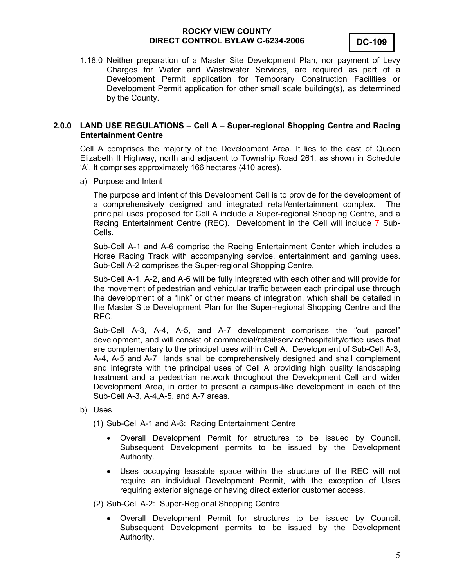

1.18.0 Neither preparation of a Master Site Development Plan, nor payment of Levy Charges for Water and Wastewater Services, are required as part of a Development Permit application for Temporary Construction Facilities or Development Permit application for other small scale building(s), as determined by the County.

#### **2.0.0 LAND USE REGULATIONS – Cell A – Super-regional Shopping Centre and Racing Entertainment Centre**

Cell A comprises the majority of the Development Area. It lies to the east of Queen Elizabeth II Highway, north and adjacent to Township Road 261, as shown in Schedule 'A'. It comprises approximately 166 hectares (410 acres).

a) Purpose and Intent

The purpose and intent of this Development Cell is to provide for the development of a comprehensively designed and integrated retail/entertainment complex. The principal uses proposed for Cell A include a Super-regional Shopping Centre, and a Racing Entertainment Centre (REC). Development in the Cell will include 7 Sub-Cells.

Sub-Cell A-1 and A-6 comprise the Racing Entertainment Center which includes a Horse Racing Track with accompanying service, entertainment and gaming uses. Sub-Cell A-2 comprises the Super-regional Shopping Centre.

Sub-Cell A-1, A-2, and A-6 will be fully integrated with each other and will provide for the movement of pedestrian and vehicular traffic between each principal use through the development of a "link" or other means of integration, which shall be detailed in the Master Site Development Plan for the Super-regional Shopping Centre and the REC.

Sub-Cell A-3, A-4, A-5, and A-7 development comprises the "out parcel" development, and will consist of commercial/retail/service/hospitality/office uses that are complementary to the principal uses within Cell A. Development of Sub-Cell A-3, A-4, A-5 and A-7 lands shall be comprehensively designed and shall complement and integrate with the principal uses of Cell A providing high quality landscaping treatment and a pedestrian network throughout the Development Cell and wider Development Area, in order to present a campus-like development in each of the Sub-Cell A-3, A-4,A-5, and A-7 areas.

b) Uses

(1) Sub-Cell A-1 and A-6: Racing Entertainment Centre

- Overall Development Permit for structures to be issued by Council. Subsequent Development permits to be issued by the Development Authority.
- Uses occupying leasable space within the structure of the REC will not require an individual Development Permit, with the exception of Uses requiring exterior signage or having direct exterior customer access.

(2) Sub-Cell A-2: Super-Regional Shopping Centre

 Overall Development Permit for structures to be issued by Council. Subsequent Development permits to be issued by the Development Authority.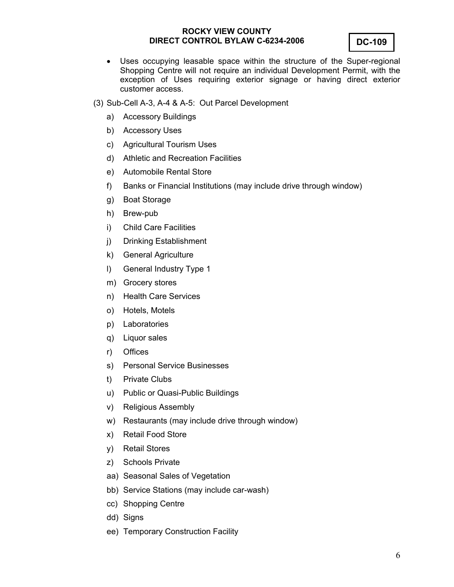

- Uses occupying leasable space within the structure of the Super-regional Shopping Centre will not require an individual Development Permit, with the exception of Uses requiring exterior signage or having direct exterior customer access.
- (3) Sub-Cell A-3, A-4 & A-5: Out Parcel Development
	- a) Accessory Buildings
	- b) Accessory Uses
	- c) Agricultural Tourism Uses
	- d) Athletic and Recreation Facilities
	- e) Automobile Rental Store
	- f) Banks or Financial Institutions (may include drive through window)
	- g) Boat Storage
	- h) Brew-pub
	- i) Child Care Facilities
	- j) Drinking Establishment
	- k) General Agriculture
	- l) General Industry Type 1
	- m) Grocery stores
	- n) Health Care Services
	- o) Hotels, Motels
	- p) Laboratories
	- q) Liquor sales
	- r) Offices
	- s) Personal Service Businesses
	- t) Private Clubs
	- u) Public or Quasi-Public Buildings
	- v) Religious Assembly
	- w) Restaurants (may include drive through window)
	- x) Retail Food Store
	- y) Retail Stores
	- z) Schools Private
	- aa) Seasonal Sales of Vegetation
	- bb) Service Stations (may include car-wash)
	- cc) Shopping Centre
	- dd) Signs
	- ee) Temporary Construction Facility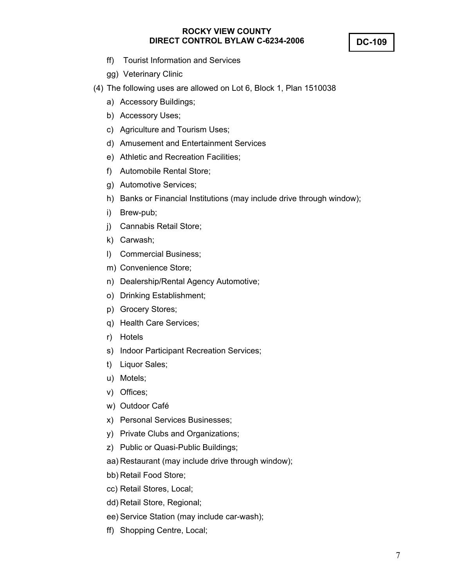**DC-109** 

- ff) Tourist Information and Services
- gg) Veterinary Clinic
- (4) The following uses are allowed on Lot 6, Block 1, Plan 1510038
	- a) Accessory Buildings;
	- b) Accessory Uses;
	- c) Agriculture and Tourism Uses;
	- d) Amusement and Entertainment Services
	- e) Athletic and Recreation Facilities;
	- f) Automobile Rental Store;
	- g) Automotive Services;
	- h) Banks or Financial Institutions (may include drive through window);
	- i) Brew-pub;
	- j) Cannabis Retail Store;
	- k) Carwash;
	- l) Commercial Business;
	- m) Convenience Store;
	- n) Dealership/Rental Agency Automotive;
	- o) Drinking Establishment;
	- p) Grocery Stores;
	- q) Health Care Services;
	- r) Hotels
	- s) Indoor Participant Recreation Services;
	- t) Liquor Sales;
	- u) Motels;
	- v) Offices;
	- w) Outdoor Café
	- x) Personal Services Businesses;
	- y) Private Clubs and Organizations;
	- z) Public or Quasi-Public Buildings;
	- aa) Restaurant (may include drive through window);
	- bb) Retail Food Store;
	- cc) Retail Stores, Local;
	- dd) Retail Store, Regional;
	- ee) Service Station (may include car-wash);
	- ff) Shopping Centre, Local;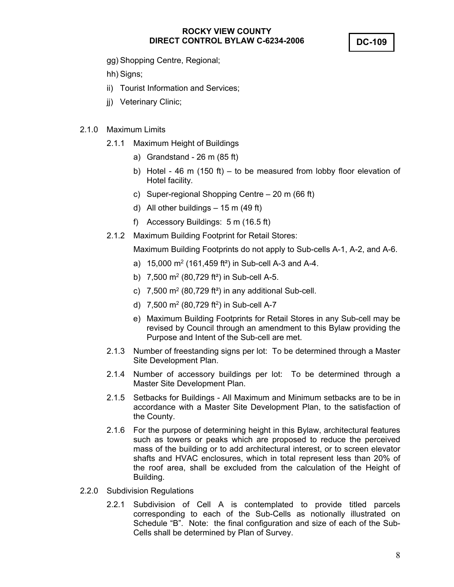**DC-109** 

- gg) Shopping Centre, Regional;
- hh) Signs;
- ii) Tourist Information and Services;
- ji) Veterinary Clinic;

#### 2.1.0 Maximum Limits

- 2.1.1 Maximum Height of Buildings
	- a) Grandstand 26 m (85 ft)
	- b) Hotel 46 m (150 ft) to be measured from lobby floor elevation of Hotel facility.
	- c) Super-regional Shopping Centre 20 m (66 ft)
	- d) All other buildings  $-15$  m (49 ft)
	- f) Accessory Buildings: 5 m (16.5 ft)
- 2.1.2 Maximum Building Footprint for Retail Stores:

Maximum Building Footprints do not apply to Sub-cells A-1, A-2, and A-6.

- a)  $15,000 \text{ m}^2$  (161,459 ft<sup>2</sup>) in Sub-cell A-3 and A-4.
- b) 7,500 m<sup>2</sup> (80,729 ft<sup>2</sup>) in Sub-cell A-5.
- c)  $7,500$  m<sup>2</sup> (80,729 ft<sup>2</sup>) in any additional Sub-cell.
- d)  $7,500 \text{ m}^2$  (80,729 ft<sup>2</sup>) in Sub-cell A-7
- e) Maximum Building Footprints for Retail Stores in any Sub-cell may be revised by Council through an amendment to this Bylaw providing the Purpose and Intent of the Sub-cell are met.
- 2.1.3 Number of freestanding signs per lot: To be determined through a Master Site Development Plan.
- 2.1.4 Number of accessory buildings per lot: To be determined through a Master Site Development Plan.
- 2.1.5 Setbacks for Buildings All Maximum and Minimum setbacks are to be in accordance with a Master Site Development Plan, to the satisfaction of the County.
- 2.1.6 For the purpose of determining height in this Bylaw, architectural features such as towers or peaks which are proposed to reduce the perceived mass of the building or to add architectural interest, or to screen elevator shafts and HVAC enclosures, which in total represent less than 20% of the roof area, shall be excluded from the calculation of the Height of Building.
- 2.2.0 Subdivision Regulations
	- 2.2.1 Subdivision of Cell A is contemplated to provide titled parcels corresponding to each of the Sub-Cells as notionally illustrated on Schedule "B". Note: the final configuration and size of each of the Sub-Cells shall be determined by Plan of Survey.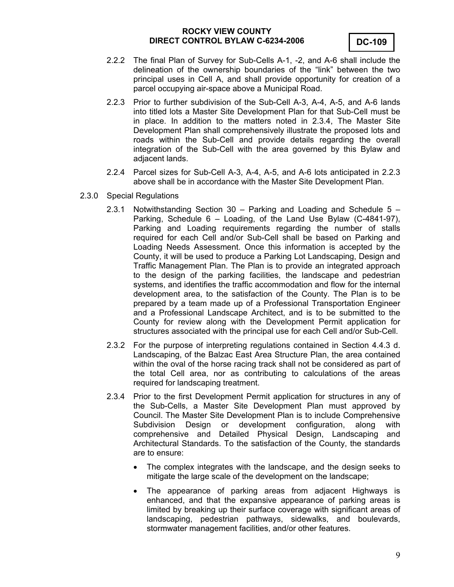- 2.2.2 The final Plan of Survey for Sub-Cells A-1, -2, and A-6 shall include the delineation of the ownership boundaries of the "link" between the two principal uses in Cell A, and shall provide opportunity for creation of a parcel occupying air-space above a Municipal Road.
- 2.2.3 Prior to further subdivision of the Sub-Cell A-3, A-4, A-5, and A-6 lands into titled lots a Master Site Development Plan for that Sub-Cell must be in place. In addition to the matters noted in 2.3.4, The Master Site Development Plan shall comprehensively illustrate the proposed lots and roads within the Sub-Cell and provide details regarding the overall integration of the Sub-Cell with the area governed by this Bylaw and adjacent lands.
- 2.2.4 Parcel sizes for Sub-Cell A-3, A-4, A-5, and A-6 lots anticipated in 2.2.3 above shall be in accordance with the Master Site Development Plan.
- 2.3.0 Special Regulations
	- 2.3.1 Notwithstanding Section 30 Parking and Loading and Schedule  $5 -$ Parking, Schedule 6 – Loading, of the Land Use Bylaw (C-4841-97), Parking and Loading requirements regarding the number of stalls required for each Cell and/or Sub-Cell shall be based on Parking and Loading Needs Assessment. Once this information is accepted by the County, it will be used to produce a Parking Lot Landscaping, Design and Traffic Management Plan. The Plan is to provide an integrated approach to the design of the parking facilities, the landscape and pedestrian systems, and identifies the traffic accommodation and flow for the internal development area, to the satisfaction of the County. The Plan is to be prepared by a team made up of a Professional Transportation Engineer and a Professional Landscape Architect, and is to be submitted to the County for review along with the Development Permit application for structures associated with the principal use for each Cell and/or Sub-Cell.
	- 2.3.2 For the purpose of interpreting regulations contained in Section 4.4.3 d. Landscaping, of the Balzac East Area Structure Plan, the area contained within the oval of the horse racing track shall not be considered as part of the total Cell area, nor as contributing to calculations of the areas required for landscaping treatment.
	- 2.3.4 Prior to the first Development Permit application for structures in any of the Sub-Cells, a Master Site Development Plan must approved by Council. The Master Site Development Plan is to include Comprehensive Subdivision Design or development configuration, along with comprehensive and Detailed Physical Design, Landscaping and Architectural Standards. To the satisfaction of the County, the standards are to ensure:
		- The complex integrates with the landscape, and the design seeks to mitigate the large scale of the development on the landscape;
		- The appearance of parking areas from adjacent Highways is enhanced, and that the expansive appearance of parking areas is limited by breaking up their surface coverage with significant areas of landscaping, pedestrian pathways, sidewalks, and boulevards, stormwater management facilities, and/or other features.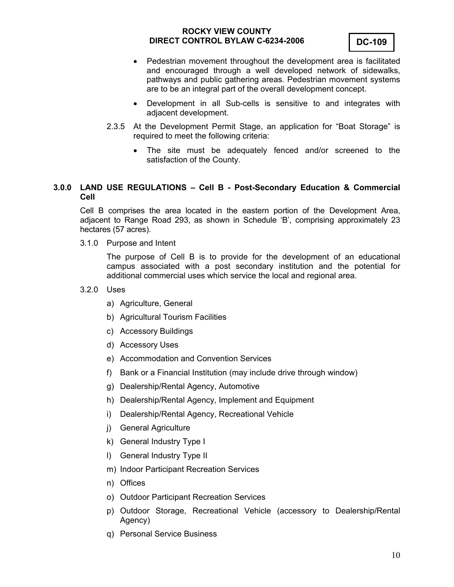

- Pedestrian movement throughout the development area is facilitated and encouraged through a well developed network of sidewalks, pathways and public gathering areas. Pedestrian movement systems are to be an integral part of the overall development concept.
- Development in all Sub-cells is sensitive to and integrates with adjacent development.
- 2.3.5 At the Development Permit Stage, an application for "Boat Storage" is required to meet the following criteria:
	- The site must be adequately fenced and/or screened to the satisfaction of the County.

## **3.0.0 LAND USE REGULATIONS – Cell B - Post-Secondary Education & Commercial Cell**

Cell B comprises the area located in the eastern portion of the Development Area, adjacent to Range Road 293, as shown in Schedule 'B', comprising approximately 23 hectares (57 acres).

3.1.0 Purpose and Intent

The purpose of Cell B is to provide for the development of an educational campus associated with a post secondary institution and the potential for additional commercial uses which service the local and regional area.

#### 3.2.0 Uses

- a) Agriculture, General
- b) Agricultural Tourism Facilities
- c) Accessory Buildings
- d) Accessory Uses
- e) Accommodation and Convention Services
- f) Bank or a Financial Institution (may include drive through window)
- g) Dealership/Rental Agency, Automotive
- h) Dealership/Rental Agency, Implement and Equipment
- i) Dealership/Rental Agency, Recreational Vehicle
- j) General Agriculture
- k) General Industry Type I
- l) General Industry Type II
- m) Indoor Participant Recreation Services
- n) Offices
- o) Outdoor Participant Recreation Services
- p) Outdoor Storage, Recreational Vehicle (accessory to Dealership/Rental Agency)
- q) Personal Service Business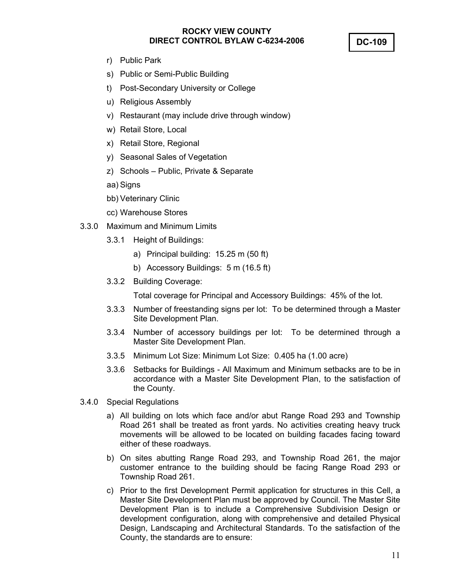**DC-109** 

- r) Public Park
- s) Public or Semi-Public Building
- t) Post-Secondary University or College
- u) Religious Assembly
- v) Restaurant (may include drive through window)
- w) Retail Store, Local
- x) Retail Store, Regional
- y) Seasonal Sales of Vegetation
- z) Schools Public, Private & Separate
- aa) Signs
- bb) Veterinary Clinic
- cc) Warehouse Stores
- 3.3.0 Maximum and Minimum Limits
	- 3.3.1 Height of Buildings:
		- a) Principal building: 15.25 m (50 ft)
		- b) Accessory Buildings: 5 m (16.5 ft)
	- 3.3.2 Building Coverage:

Total coverage for Principal and Accessory Buildings: 45% of the lot.

- 3.3.3 Number of freestanding signs per lot: To be determined through a Master Site Development Plan.
- 3.3.4 Number of accessory buildings per lot: To be determined through a Master Site Development Plan.
- 3.3.5 Minimum Lot Size: Minimum Lot Size: 0.405 ha (1.00 acre)
- 3.3.6 Setbacks for Buildings All Maximum and Minimum setbacks are to be in accordance with a Master Site Development Plan, to the satisfaction of the County.
- 3.4.0 Special Regulations
	- a) All building on lots which face and/or abut Range Road 293 and Township Road 261 shall be treated as front yards. No activities creating heavy truck movements will be allowed to be located on building facades facing toward either of these roadways.
	- b) On sites abutting Range Road 293, and Township Road 261, the major customer entrance to the building should be facing Range Road 293 or Township Road 261.
	- c) Prior to the first Development Permit application for structures in this Cell, a Master Site Development Plan must be approved by Council. The Master Site Development Plan is to include a Comprehensive Subdivision Design or development configuration, along with comprehensive and detailed Physical Design, Landscaping and Architectural Standards. To the satisfaction of the County, the standards are to ensure: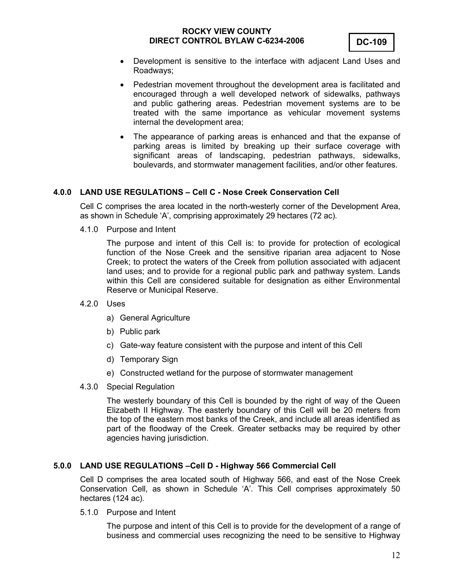- Development is sensitive to the interface with adjacent Land Uses and Roadways;
- Pedestrian movement throughout the development area is facilitated and encouraged through a well developed network of sidewalks, pathways and public gathering areas. Pedestrian movement systems are to be treated with the same importance as vehicular movement systems internal the development area;
- The appearance of parking areas is enhanced and that the expanse of parking areas is limited by breaking up their surface coverage with significant areas of landscaping, pedestrian pathways, sidewalks, boulevards, and stormwater management facilities, and/or other features.

#### **4.0.0 LAND USE REGULATIONS – Cell C - Nose Creek Conservation Cell**

Cell C comprises the area located in the north-westerly corner of the Development Area, as shown in Schedule 'A', comprising approximately 29 hectares (72 ac).

4.1.0 Purpose and Intent

The purpose and intent of this Cell is: to provide for protection of ecological function of the Nose Creek and the sensitive riparian area adjacent to Nose Creek; to protect the waters of the Creek from pollution associated with adjacent land uses; and to provide for a regional public park and pathway system. Lands within this Cell are considered suitable for designation as either Environmental Reserve or Municipal Reserve.

- 4.2.0 Uses
	- a) General Agriculture
	- b) Public park
	- c) Gate-way feature consistent with the purpose and intent of this Cell
	- d) Temporary Sign
	- e) Constructed wetland for the purpose of stormwater management
- 4.3.0 Special Regulation

The westerly boundary of this Cell is bounded by the right of way of the Queen Elizabeth II Highway. The easterly boundary of this Cell will be 20 meters from the top of the eastern most banks of the Creek, and include all areas identified as part of the floodway of the Creek. Greater setbacks may be required by other agencies having jurisdiction.

#### **5.0.0 LAND USE REGULATIONS –Cell D - Highway 566 Commercial Cell**

Cell D comprises the area located south of Highway 566, and east of the Nose Creek Conservation Cell, as shown in Schedule 'A'. This Cell comprises approximately 50 hectares (124 ac).

5.1.0 Purpose and Intent

The purpose and intent of this Cell is to provide for the development of a range of business and commercial uses recognizing the need to be sensitive to Highway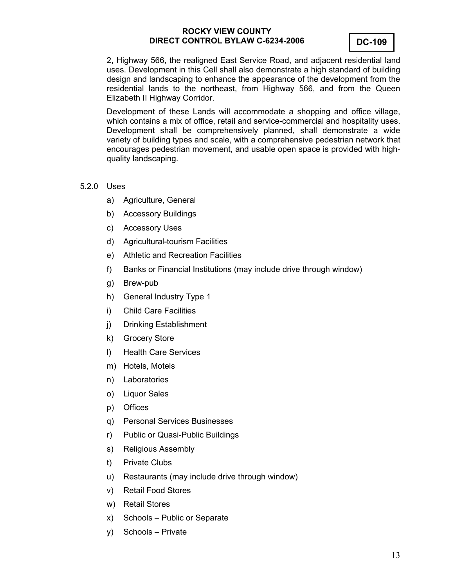

2, Highway 566, the realigned East Service Road, and adjacent residential land uses. Development in this Cell shall also demonstrate a high standard of building design and landscaping to enhance the appearance of the development from the residential lands to the northeast, from Highway 566, and from the Queen Elizabeth II Highway Corridor.

Development of these Lands will accommodate a shopping and office village, which contains a mix of office, retail and service-commercial and hospitality uses. Development shall be comprehensively planned, shall demonstrate a wide variety of building types and scale, with a comprehensive pedestrian network that encourages pedestrian movement, and usable open space is provided with highquality landscaping.

#### 5.2.0 Uses

- a) Agriculture, General
- b) Accessory Buildings
- c) Accessory Uses
- d) Agricultural-tourism Facilities
- e) Athletic and Recreation Facilities
- f) Banks or Financial Institutions (may include drive through window)
- g) Brew-pub
- h) General Industry Type 1
- i) Child Care Facilities
- j) Drinking Establishment
- k) Grocery Store
- l) Health Care Services
- m) Hotels, Motels
- n) Laboratories
- o) Liquor Sales
- p) Offices
- q) Personal Services Businesses
- r) Public or Quasi-Public Buildings
- s) Religious Assembly
- t) Private Clubs
- u) Restaurants (may include drive through window)
- v) Retail Food Stores
- w) Retail Stores
- x) Schools Public or Separate
- y) Schools Private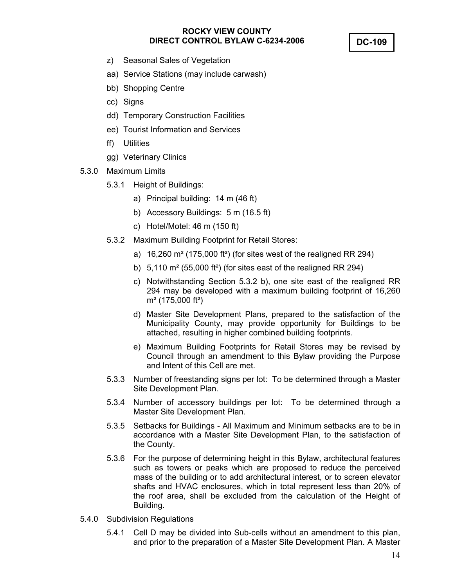**DC-109** 

- z) Seasonal Sales of Vegetation
- aa) Service Stations (may include carwash)
- bb) Shopping Centre
- cc) Signs
- dd) Temporary Construction Facilities
- ee) Tourist Information and Services
- ff) Utilities
- gg) Veterinary Clinics
- 5.3.0 Maximum Limits
	- 5.3.1 Height of Buildings:
		- a) Principal building: 14 m (46 ft)
		- b) Accessory Buildings: 5 m (16.5 ft)
		- c) Hotel/Motel: 46 m (150 ft)
	- 5.3.2 Maximum Building Footprint for Retail Stores:
		- a)  $16,260$  m<sup>2</sup> (175,000 ft<sup>2</sup>) (for sites west of the realigned RR 294)
		- b) 5,110 m² (55,000 ft²) (for sites east of the realigned RR 294)
		- c) Notwithstanding Section 5.3.2 b), one site east of the realigned RR 294 may be developed with a maximum building footprint of 16,260 m² (175,000 ft²)
		- d) Master Site Development Plans, prepared to the satisfaction of the Municipality County, may provide opportunity for Buildings to be attached, resulting in higher combined building footprints.
		- e) Maximum Building Footprints for Retail Stores may be revised by Council through an amendment to this Bylaw providing the Purpose and Intent of this Cell are met.
	- 5.3.3 Number of freestanding signs per lot: To be determined through a Master Site Development Plan.
	- 5.3.4 Number of accessory buildings per lot: To be determined through a Master Site Development Plan.
	- 5.3.5 Setbacks for Buildings All Maximum and Minimum setbacks are to be in accordance with a Master Site Development Plan, to the satisfaction of the County.
	- 5.3.6 For the purpose of determining height in this Bylaw, architectural features such as towers or peaks which are proposed to reduce the perceived mass of the building or to add architectural interest, or to screen elevator shafts and HVAC enclosures, which in total represent less than 20% of the roof area, shall be excluded from the calculation of the Height of Building.
- 5.4.0 Subdivision Regulations
	- 5.4.1 Cell D may be divided into Sub-cells without an amendment to this plan, and prior to the preparation of a Master Site Development Plan. A Master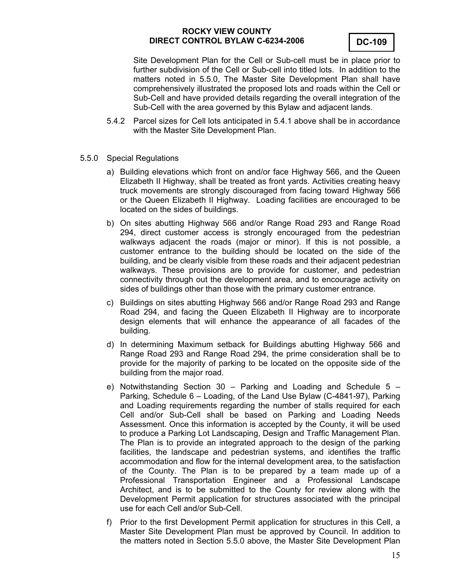

Site Development Plan for the Cell or Sub-cell must be in place prior to further subdivision of the Cell or Sub-cell into titled lots. In addition to the matters noted in 5.5.0, The Master Site Development Plan shall have comprehensively illustrated the proposed lots and roads within the Cell or Sub-Cell and have provided details regarding the overall integration of the Sub-Cell with the area governed by this Bylaw and adjacent lands.

- 5.4.2 Parcel sizes for Cell lots anticipated in 5.4.1 above shall be in accordance with the Master Site Development Plan.
- 5.5.0 Special Regulations
	- a) Building elevations which front on and/or face Highway 566, and the Queen Elizabeth II Highway, shall be treated as front yards. Activities creating heavy truck movements are strongly discouraged from facing toward Highway 566 or the Queen Elizabeth II Highway. Loading facilities are encouraged to be located on the sides of buildings.
	- b) On sites abutting Highway 566 and/or Range Road 293 and Range Road 294, direct customer access is strongly encouraged from the pedestrian walkways adjacent the roads (major or minor). If this is not possible, a customer entrance to the building should be located on the side of the building, and be clearly visible from these roads and their adjacent pedestrian walkways. These provisions are to provide for customer, and pedestrian connectivity through out the development area, and to encourage activity on sides of buildings other than those with the primary customer entrance.
	- c) Buildings on sites abutting Highway 566 and/or Range Road 293 and Range Road 294, and facing the Queen Elizabeth II Highway are to incorporate design elements that will enhance the appearance of all facades of the building.
	- d) In determining Maximum setback for Buildings abutting Highway 566 and Range Road 293 and Range Road 294, the prime consideration shall be to provide for the majority of parking to be located on the opposite side of the building from the major road.
	- e) Notwithstanding Section 30 Parking and Loading and Schedule  $5$  Parking, Schedule 6 – Loading, of the Land Use Bylaw (C-4841-97), Parking and Loading requirements regarding the number of stalls required for each Cell and/or Sub-Cell shall be based on Parking and Loading Needs Assessment. Once this information is accepted by the County, it will be used to produce a Parking Lot Landscaping, Design and Traffic Management Plan. The Plan is to provide an integrated approach to the design of the parking facilities, the landscape and pedestrian systems, and identifies the traffic accommodation and flow for the internal development area, to the satisfaction of the County. The Plan is to be prepared by a team made up of a Professional Transportation Engineer and a Professional Landscape Architect, and is to be submitted to the County for review along with the Development Permit application for structures associated with the principal use for each Cell and/or Sub-Cell.
	- f) Prior to the first Development Permit application for structures in this Cell, a Master Site Development Plan must be approved by Council. In addition to the matters noted in Section 5.5.0 above, the Master Site Development Plan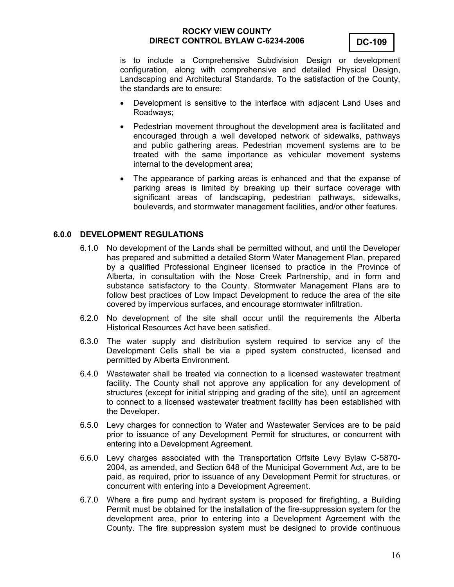

is to include a Comprehensive Subdivision Design or development configuration, along with comprehensive and detailed Physical Design, Landscaping and Architectural Standards. To the satisfaction of the County, the standards are to ensure:

- Development is sensitive to the interface with adjacent Land Uses and Roadways;
- Pedestrian movement throughout the development area is facilitated and encouraged through a well developed network of sidewalks, pathways and public gathering areas. Pedestrian movement systems are to be treated with the same importance as vehicular movement systems internal to the development area;
- The appearance of parking areas is enhanced and that the expanse of parking areas is limited by breaking up their surface coverage with significant areas of landscaping, pedestrian pathways, sidewalks, boulevards, and stormwater management facilities, and/or other features.

#### **6.0.0 DEVELOPMENT REGULATIONS**

- 6.1.0 No development of the Lands shall be permitted without, and until the Developer has prepared and submitted a detailed Storm Water Management Plan, prepared by a qualified Professional Engineer licensed to practice in the Province of Alberta, in consultation with the Nose Creek Partnership, and in form and substance satisfactory to the County. Stormwater Management Plans are to follow best practices of Low Impact Development to reduce the area of the site covered by impervious surfaces, and encourage stormwater infiltration.
- 6.2.0 No development of the site shall occur until the requirements the Alberta Historical Resources Act have been satisfied.
- 6.3.0 The water supply and distribution system required to service any of the Development Cells shall be via a piped system constructed, licensed and permitted by Alberta Environment.
- 6.4.0 Wastewater shall be treated via connection to a licensed wastewater treatment facility. The County shall not approve any application for any development of structures (except for initial stripping and grading of the site), until an agreement to connect to a licensed wastewater treatment facility has been established with the Developer.
- 6.5.0 Levy charges for connection to Water and Wastewater Services are to be paid prior to issuance of any Development Permit for structures, or concurrent with entering into a Development Agreement.
- 6.6.0 Levy charges associated with the Transportation Offsite Levy Bylaw C-5870- 2004, as amended, and Section 648 of the Municipal Government Act, are to be paid, as required, prior to issuance of any Development Permit for structures, or concurrent with entering into a Development Agreement.
- 6.7.0 Where a fire pump and hydrant system is proposed for firefighting, a Building Permit must be obtained for the installation of the fire-suppression system for the development area, prior to entering into a Development Agreement with the County. The fire suppression system must be designed to provide continuous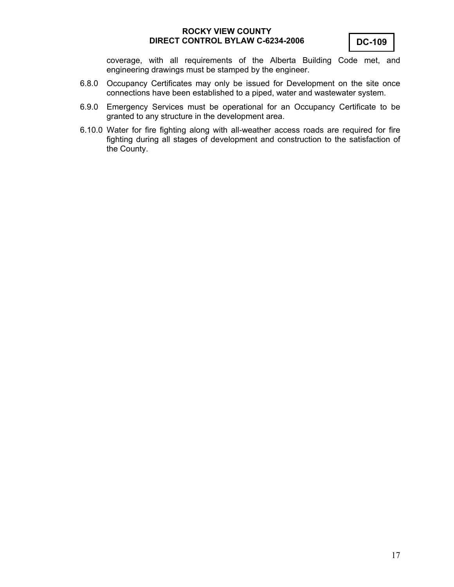coverage, with all requirements of the Alberta Building Code met, and engineering drawings must be stamped by the engineer.

- 6.8.0 Occupancy Certificates may only be issued for Development on the site once connections have been established to a piped, water and wastewater system.
- 6.9.0 Emergency Services must be operational for an Occupancy Certificate to be granted to any structure in the development area.
- 6.10.0 Water for fire fighting along with all-weather access roads are required for fire fighting during all stages of development and construction to the satisfaction of the County.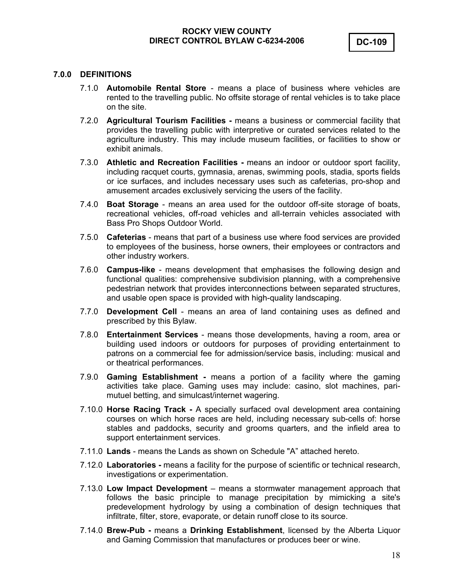#### **7.0.0 DEFINITIONS**

- 7.1.0 **Automobile Rental Store** means a place of business where vehicles are rented to the travelling public. No offsite storage of rental vehicles is to take place on the site.
- 7.2.0 **Agricultural Tourism Facilities** means a business or commercial facility that provides the travelling public with interpretive or curated services related to the agriculture industry. This may include museum facilities, or facilities to show or exhibit animals.
- 7.3.0 **Athletic and Recreation Facilities** means an indoor or outdoor sport facility, including racquet courts, gymnasia, arenas, swimming pools, stadia, sports fields or ice surfaces, and includes necessary uses such as cafeterias, pro-shop and amusement arcades exclusively servicing the users of the facility.
- 7.4.0 **Boat Storage** means an area used for the outdoor off-site storage of boats, recreational vehicles, off-road vehicles and all-terrain vehicles associated with Bass Pro Shops Outdoor World.
- 7.5.0 **Cafeterias** means that part of a business use where food services are provided to employees of the business, horse owners, their employees or contractors and other industry workers.
- 7.6.0 **Campus-like**  means development that emphasises the following design and functional qualities: comprehensive subdivision planning, with a comprehensive pedestrian network that provides interconnections between separated structures, and usable open space is provided with high-quality landscaping.
- 7.7.0 **Development Cell** means an area of land containing uses as defined and prescribed by this Bylaw.
- 7.8.0 **Entertainment Services** means those developments, having a room, area or building used indoors or outdoors for purposes of providing entertainment to patrons on a commercial fee for admission/service basis, including: musical and or theatrical performances.
- 7.9.0 **Gaming Establishment** means a portion of a facility where the gaming activities take place. Gaming uses may include: casino, slot machines, parimutuel betting, and simulcast/internet wagering.
- 7.10.0 **Horse Racing Track** A specially surfaced oval development area containing courses on which horse races are held, including necessary sub-cells of: horse stables and paddocks, security and grooms quarters, and the infield area to support entertainment services.
- 7.11.0 **Lands** means the Lands as shown on Schedule "A" attached hereto.
- 7.12.0 **Laboratories** means a facility for the purpose of scientific or technical research, investigations or experimentation.
- 7.13.0 **Low Impact Development**  means a stormwater management approach that follows the basic principle to manage precipitation by mimicking a site's predevelopment hydrology by using a combination of design techniques that infiltrate, filter, store, evaporate, or detain runoff close to its source.
- 7.14.0 **Brew-Pub** means a **Drinking Establishment**, licensed by the Alberta Liquor and Gaming Commission that manufactures or produces beer or wine.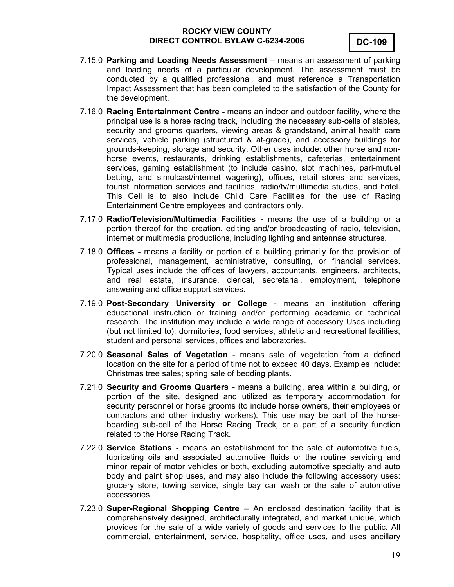

- 7.15.0 **Parking and Loading Needs Assessment** means an assessment of parking and loading needs of a particular development. The assessment must be conducted by a qualified professional, and must reference a Transportation Impact Assessment that has been completed to the satisfaction of the County for the development.
- 7.16.0 **Racing Entertainment Centre** means an indoor and outdoor facility, where the principal use is a horse racing track, including the necessary sub-cells of stables, security and grooms quarters, viewing areas & grandstand, animal health care services, vehicle parking (structured & at-grade), and accessory buildings for grounds-keeping, storage and security. Other uses include: other horse and nonhorse events, restaurants, drinking establishments, cafeterias, entertainment services, gaming establishment (to include casino, slot machines, pari-mutuel betting, and simulcast/internet wagering), offices, retail stores and services, tourist information services and facilities, radio/tv/multimedia studios, and hotel. This Cell is to also include Child Care Facilities for the use of Racing Entertainment Centre employees and contractors only.
- 7.17.0 **Radio/Television/Multimedia Facilities** means the use of a building or a portion thereof for the creation, editing and/or broadcasting of radio, television, internet or multimedia productions, including lighting and antennae structures.
- 7.18.0 **Offices** means a facility or portion of a building primarily for the provision of professional, management, administrative, consulting, or financial services. Typical uses include the offices of lawyers, accountants, engineers, architects, and real estate, insurance, clerical, secretarial, employment, telephone answering and office support services.
- 7.19.0 **Post-Secondary University or College** means an institution offering educational instruction or training and/or performing academic or technical research. The institution may include a wide range of accessory Uses including (but not limited to): dormitories, food services, athletic and recreational facilities, student and personal services, offices and laboratories.
- 7.20.0 **Seasonal Sales of Vegetation** means sale of vegetation from a defined location on the site for a period of time not to exceed 40 days. Examples include: Christmas tree sales; spring sale of bedding plants.
- 7.21.0 **Security and Grooms Quarters** means a building, area within a building, or portion of the site, designed and utilized as temporary accommodation for security personnel or horse grooms (to include horse owners, their employees or contractors and other industry workers). This use may be part of the horseboarding sub-cell of the Horse Racing Track*,* or a part of a security function related to the Horse Racing Track.
- 7.22.0 **Service Stations** means an establishment for the sale of automotive fuels, lubricating oils and associated automotive fluids or the routine servicing and minor repair of motor vehicles or both, excluding automotive specialty and auto body and paint shop uses, and may also include the following accessory uses: grocery store, towing service, single bay car wash or the sale of automotive accessories.
- 7.23.0 **Super-Regional Shopping Centre** An enclosed destination facility that is comprehensively designed, architecturally integrated, and market unique, which provides for the sale of a wide variety of goods and services to the public. All commercial, entertainment, service, hospitality, office uses, and uses ancillary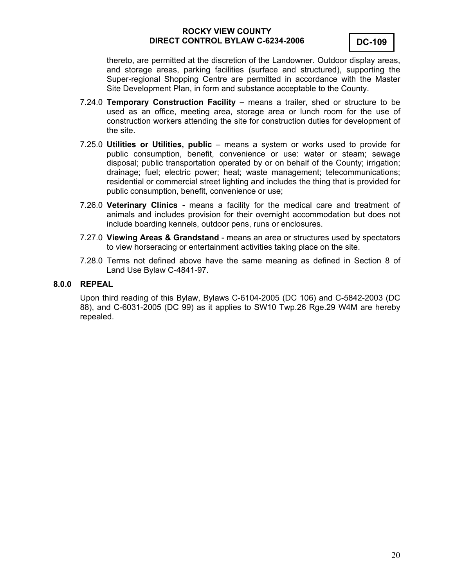

thereto, are permitted at the discretion of the Landowner. Outdoor display areas, and storage areas, parking facilities (surface and structured), supporting the Super-regional Shopping Centre are permitted in accordance with the Master Site Development Plan, in form and substance acceptable to the County.

- 7.24.0 **Temporary Construction Facility –** means a trailer, shed or structure to be used as an office, meeting area, storage area or lunch room for the use of construction workers attending the site for construction duties for development of the site.
- 7.25.0 **Utilities or Utilities, public**  means a system or works used to provide for public consumption, benefit, convenience or use: water or steam; sewage disposal; public transportation operated by or on behalf of the County; irrigation; drainage; fuel; electric power; heat; waste management; telecommunications; residential or commercial street lighting and includes the thing that is provided for public consumption, benefit, convenience or use;
- 7.26.0 **Veterinary Clinics** means a facility for the medical care and treatment of animals and includes provision for their overnight accommodation but does not include boarding kennels, outdoor pens, runs or enclosures.
- 7.27.0 **Viewing Areas & Grandstand** means an area or structures used by spectators to view horseracing or entertainment activities taking place on the site.
- 7.28.0 Terms not defined above have the same meaning as defined in Section 8 of Land Use Bylaw C-4841-97.

#### **8.0.0 REPEAL**

Upon third reading of this Bylaw, Bylaws C-6104-2005 (DC 106) and C-5842-2003 (DC 88), and C-6031-2005 (DC 99) as it applies to SW10 Twp.26 Rge.29 W4M are hereby repealed.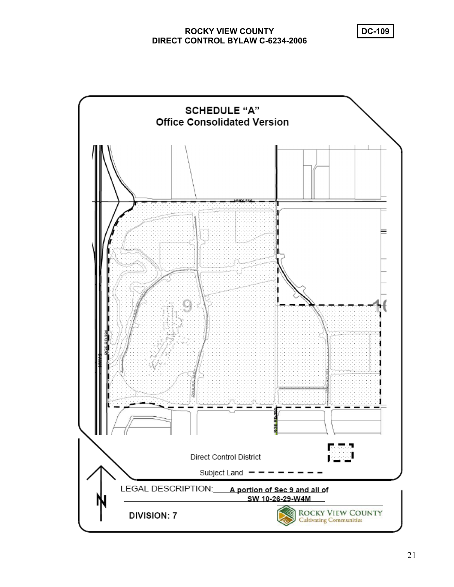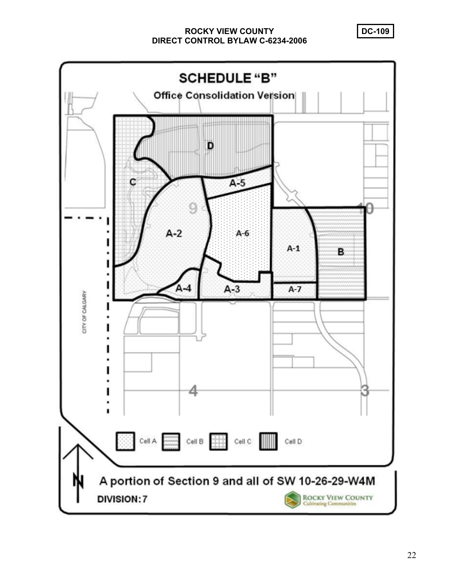**SCHEDULE "B" Office Consolidation Version** D  $A-5$ с  $A-2$ A-6  $A-1$ B  $A - 4$  $A-3$  $A-7$ CITY OF CALGARY Cell A  $\begin{array}{|c|c|c|c|c|}\n\hline\n\text{Cell B} & \text{Cell B} & \text{Cell C} & \text{All} \\
\hline\n\end{array}$ Cell D A portion of Section 9 and all of SW 10-26-29-W4M ROCKY VIEW COUNTY<br>Cultivating Communities **DIVISION:7**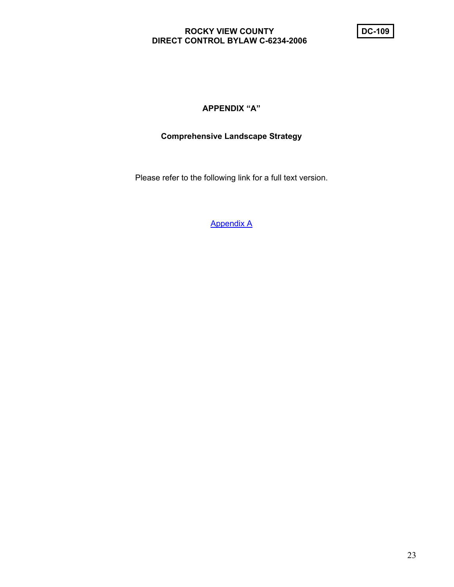# **APPENDIX "A"**

# **Comprehensive Landscape Strategy**

Please refer to the following link for a full text version.

Appendix A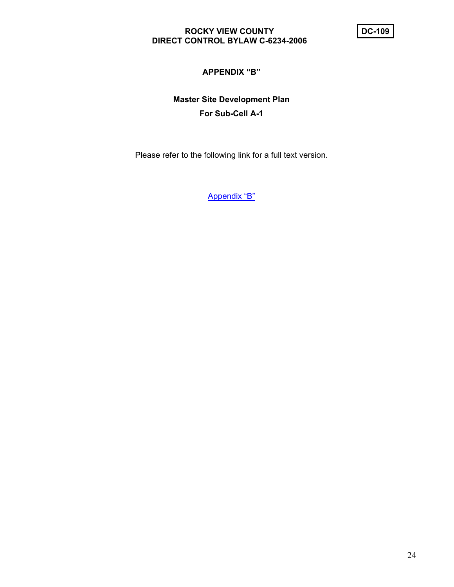# **APPENDIX "B"**

# **Master Site Development Plan For Sub-Cell A-1**

Please refer to the following link for a full text version.

Appendix "B"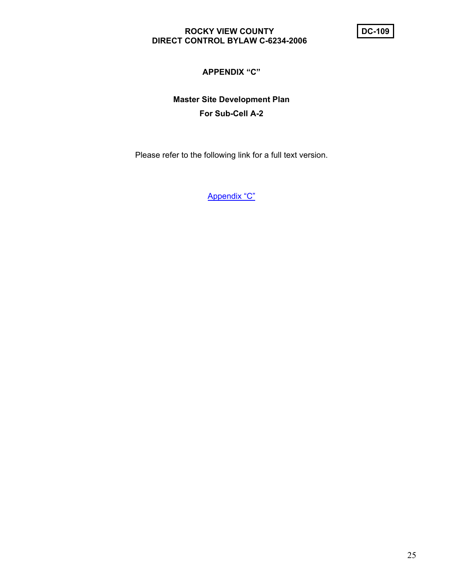# **APPENDIX "C"**

# **Master Site Development Plan For Sub-Cell A-2**

Please refer to the following link for a full text version.

Appendix "C"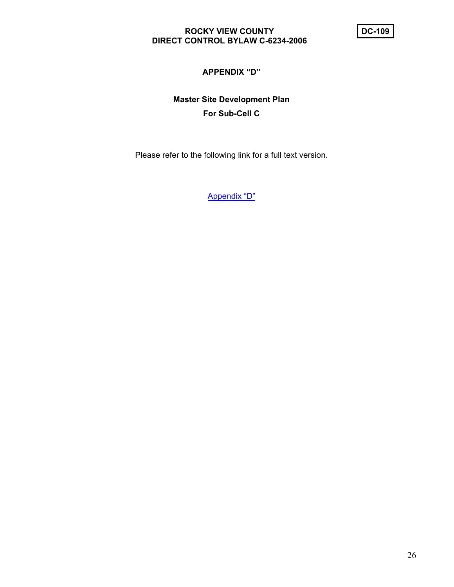# **APPENDIX "D"**

# **Master Site Development Plan For Sub-Cell C**

Please refer to the following link for a full text version.

Appendix "D"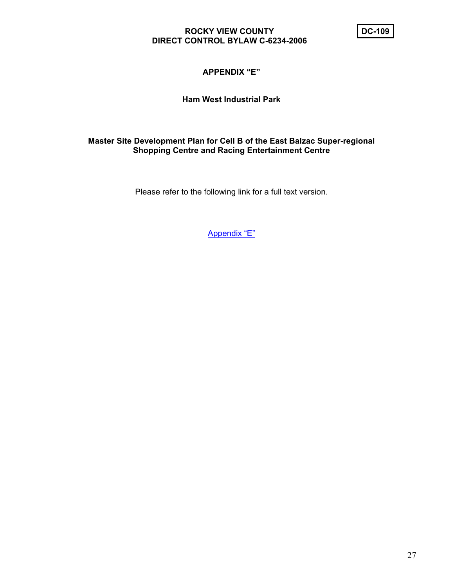# **APPENDIX "E"**

# **Ham West Industrial Park**

## **Master Site Development Plan for Cell B of the East Balzac Super-regional Shopping Centre and Racing Entertainment Centre**

Please refer to the following link for a full text version.

Appendix "E"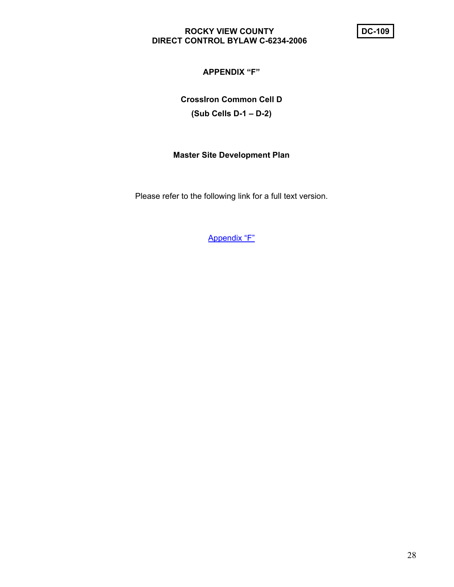# **APPENDIX "F"**

**CrossIron Common Cell D (Sub Cells D-1 – D-2)** 

#### **Master Site Development Plan**

Please refer to the following link for a full text version.

Appendix "F"